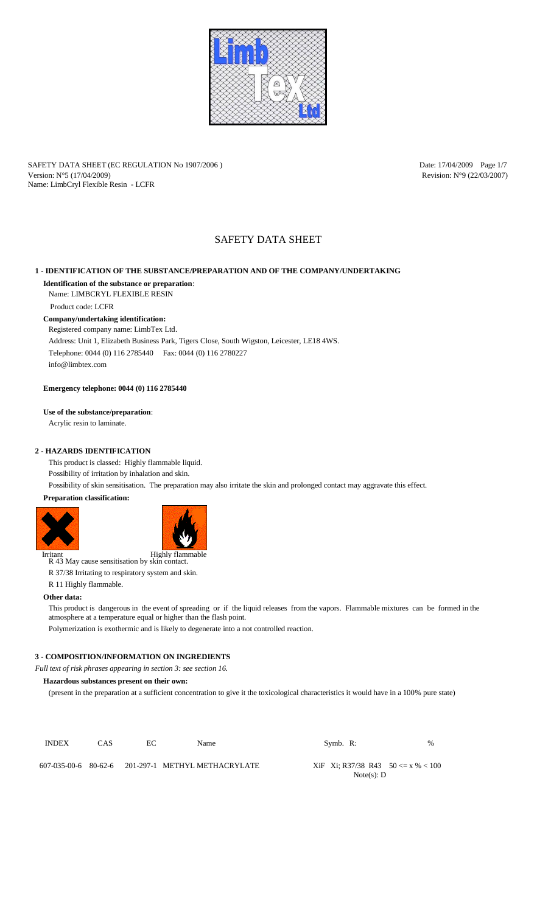

SAFETY DATA SHEET (EC REGULATION No 1907/2006) Date: 17/04/2009 Page 1/7 Version:  $N^{\circ}5$  (17/04/2009) Revision: N°9 (22/03/2007) Name: LimbCryl Flexible Resin - LCFR

# SAFETY DATA SHEET

# **1 - IDENTIFICATION OF THE SUBSTANCE/PREPARATION AND OF THE COMPANY/UNDERTAKING**

# **Identification of the substance or preparation**:

Name: LIMBCRYL FLEXIBLE RESIN

# **Company/undertaking identification:**

Registered company name: LimbTex Ltd.

R 43 May cause sensitisation by skin contact. Irritant Highly flammable

Address: Unit 1, Elizabeth Business Park, Tigers Close, South Wigston, Leicester, LE18 4WS. Telephone: 0044 (0) 116 2785440 Fax: 0044 (0) 116 2780227 info@limbtex.com

**Emergency telephone: 0044 (0) 116 2785440**

# **Use of the substance/preparation**:

Acrylic resin to laminate.

# **2 - HAZARDS IDENTIFICATION**

This product is classed: Highly flammable liquid.

Possibility of irritation by inhalation and skin.

Possibility of skin sensitisation. The preparation may also irritate the skin and prolonged contact may aggravate this effect.

# **Preparation classification:**





R 37/38 Irritating to respiratory system and skin.

R 11 Highly flammable.

# **Other data:**

This product is dangerous in the event of spreading or if the liquid releases from the vapors. Flammable mixtures can be formed in the atmosphere at a temperature equal or higher than the flash point.

Polymerization is exothermic and is likely to degenerate into a not controlled reaction.

# **3 - COMPOSITION/INFORMATION ON INGREDIENTS**

*Full text of risk phrases appearing in section 3: see section 16.*

# **Hazardous substances present on their own:**

(present in the preparation at a sufficient concentration to give it the toxicological characteristics it would have in a 100% pure state)

Product code: LCFR

| <b>INDEX</b> | CAS. | EС | <b>Name</b> | Symb. $R$ :                                                | $\%$ |
|--------------|------|----|-------------|------------------------------------------------------------|------|
|              |      |    |             | $XiF$ Xi; R37/38 R43 50 $\lt = x \% < 100$<br>Note(s): $D$ |      |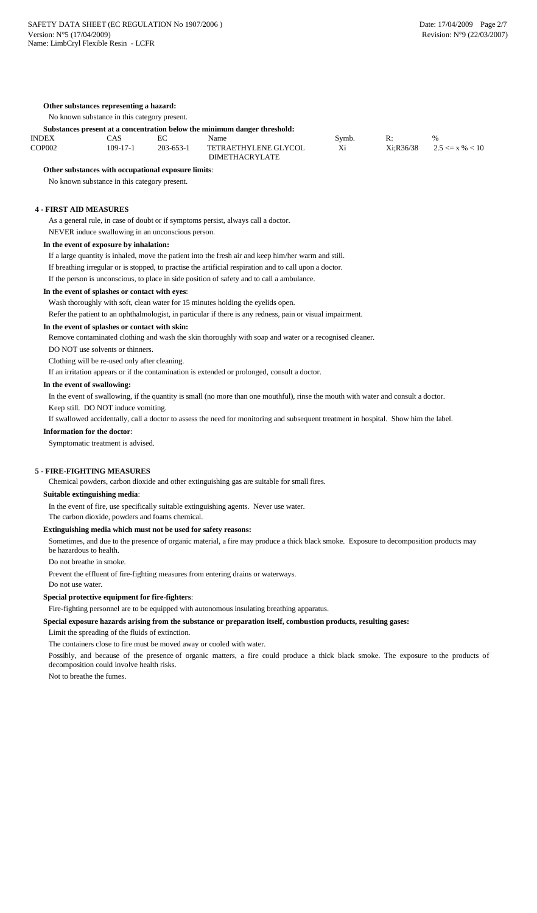### **Other substances representing a hazard:**

No known substance in this category present.

#### **Substances present at a concentration below the minimum danger threshold:**

| <b>INDEX</b>  | `AS      |                 | Name                        | Symb. | R. | $\%$                               |
|---------------|----------|-----------------|-----------------------------|-------|----|------------------------------------|
| <b>COP002</b> | 109-17-1 | $203 - 653 - 1$ | <b>TETRAETHYLENE GLYCOL</b> |       |    | $Xi; R36/38$ 2.5 $\lt = x \% < 10$ |
|               |          |                 | <b>DIMETHACRYLATE</b>       |       |    |                                    |

# **Other substances with occupational exposure limits**:

No known substance in this category present.

### **4 - FIRST AID MEASURES**

As a general rule, in case of doubt or if symptoms persist, always call a doctor.

NEVER induce swallowing in an unconscious person.

#### **In the event of exposure by inhalation:**

If a large quantity is inhaled, move the patient into the fresh air and keep him/her warm and still.

If breathing irregular or is stopped, to practise the artificial respiration and to call upon a doctor.

If the person is unconscious, to place in side position of safety and to call a ambulance.

# **In the event of splashes or contact with eyes**:

Wash thoroughly with soft, clean water for 15 minutes holding the eyelids open.

Refer the patient to an ophthalmologist, in particular if there is any redness, pain or visual impairment.

#### **In the event of splashes or contact with skin:**

Remove contaminated clothing and wash the skin thoroughly with soap and water or a recognised cleaner.

DO NOT use solvents or thinners.

Clothing will be re-used only after cleaning.

If an irritation appears or if the contamination is extended or prolonged, consult a doctor.

#### **In the event of swallowing:**

In the event of swallowing, if the quantity is small (no more than one mouthful), rinse the mouth with water and consult a doctor.

Keep still. DO NOT induce vomiting.

If swallowed accidentally, call a doctor to assess the need for monitoring and subsequent treatment in hospital. Show him the label.

#### **Information for the doctor**:

Symptomatic treatment is advised.

# **5 - FIRE-FIGHTING MEASURES**

Chemical powders, carbon dioxide and other extinguishing gas are suitable for small fires.

### **Suitable extinguishing media**:

In the event of fire, use specifically suitable extinguishing agents. Never use water.

The carbon dioxide, powders and foams chemical.

#### **Extinguishing media which must not be used for safety reasons:**

Sometimes, and due to the presence of organic material, a fire may produce a thick black smoke. Exposure to decomposition products may be hazardous to health.

Do not breathe in smoke.

Prevent the effluent of fire-fighting measures from entering drains or waterways.

Do not use water.

# **Special protective equipment for fire-fighters**:

Fire-fighting personnel are to be equipped with autonomous insulating breathing apparatus.

# **Special exposure hazards arising from the substance or preparation itself, combustion products, resulting gases:**

# Limit the spreading of the fluids of extinction.

The containers close to fire must be moved away or cooled with water.

Possibly, and because of the presence of organic matters, a fire could produce a thick black smoke. The exposure to the products of decomposition could involve health risks.

Not to breathe the fumes.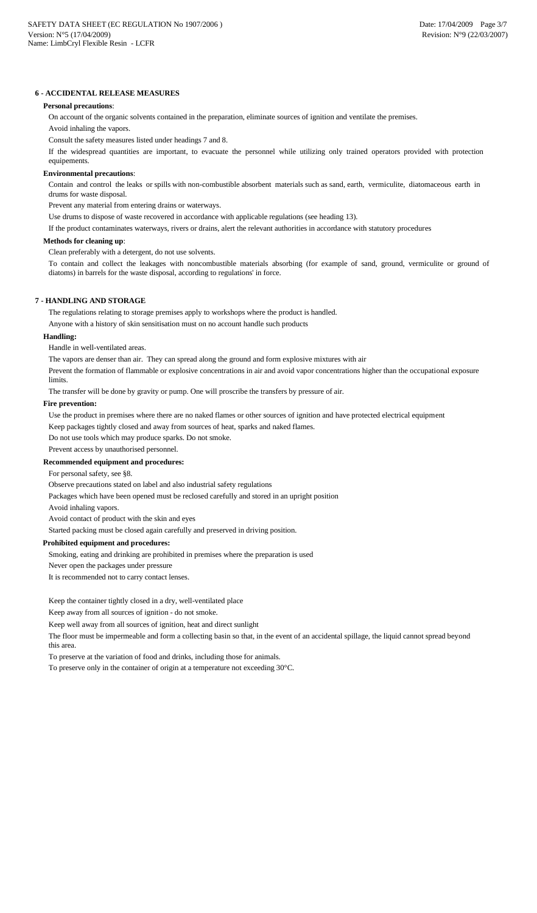# **6 - ACCIDENTAL RELEASE MEASURES**

### **Personal precautions**:

On account of the organic solvents contained in the preparation, eliminate sources of ignition and ventilate the premises.

Avoid inhaling the vapors.

Consult the safety measures listed under headings 7 and 8.

If the widespread quantities are important, to evacuate the personnel while utilizing only trained operators provided with protection equipements.

#### **Environmental precautions**:

Contain and control the leaks or spills with non-combustible absorbent materials such as sand, earth, vermiculite, diatomaceous earth in drums for waste disposal.

Prevent any material from entering drains or waterways.

Use drums to dispose of waste recovered in accordance with applicable regulations (see heading 13).

If the product contaminates waterways, rivers or drains, alert the relevant authorities in accordance with statutory procedures

### **Methods for cleaning up**:

Clean preferably with a detergent, do not use solvents.

To contain and collect the leakages with noncombustible materials absorbing (for example of sand, ground, vermiculite or ground of diatoms) in barrels for the waste disposal, according to regulations' in force.

# **7 - HANDLING AND STORAGE**

The regulations relating to storage premises apply to workshops where the product is handled.

Anyone with a history of skin sensitisation must on no account handle such products

#### **Handling:**

Handle in well-ventilated areas.

The vapors are denser than air. They can spread along the ground and form explosive mixtures with air

Prevent the formation of flammable or explosive concentrations in air and avoid vapor concentrations higher than the occupational exposure limits.

The transfer will be done by gravity or pump. One will proscribe the transfers by pressure of air.

#### **Fire prevention:**

Use the product in premises where there are no naked flames or other sources of ignition and have protected electrical equipment

Keep packages tightly closed and away from sources of heat, sparks and naked flames.

Do not use tools which may produce sparks. Do not smoke.

Prevent access by unauthorised personnel.

### **Recommended equipment and procedures:**

For personal safety, see §8.

Observe precautions stated on label and also industrial safety regulations

Packages which have been opened must be reclosed carefully and stored in an upright position

Avoid inhaling vapors.

Avoid contact of product with the skin and eyes

Started packing must be closed again carefully and preserved in driving position.

#### **Prohibited equipment and procedures:**

Smoking, eating and drinking are prohibited in premises where the preparation is used

Never open the packages under pressure

It is recommended not to carry contact lenses.

Keep the container tightly closed in a dry, well-ventilated place

Keep away from all sources of ignition - do not smoke.

Keep well away from all sources of ignition, heat and direct sunlight

The floor must be impermeable and form a collecting basin so that, in the event of an accidental spillage, the liquid cannot spread beyond this area.

To preserve at the variation of food and drinks, including those for animals.

To preserve only in the container of origin at a temperature not exceeding 30°C.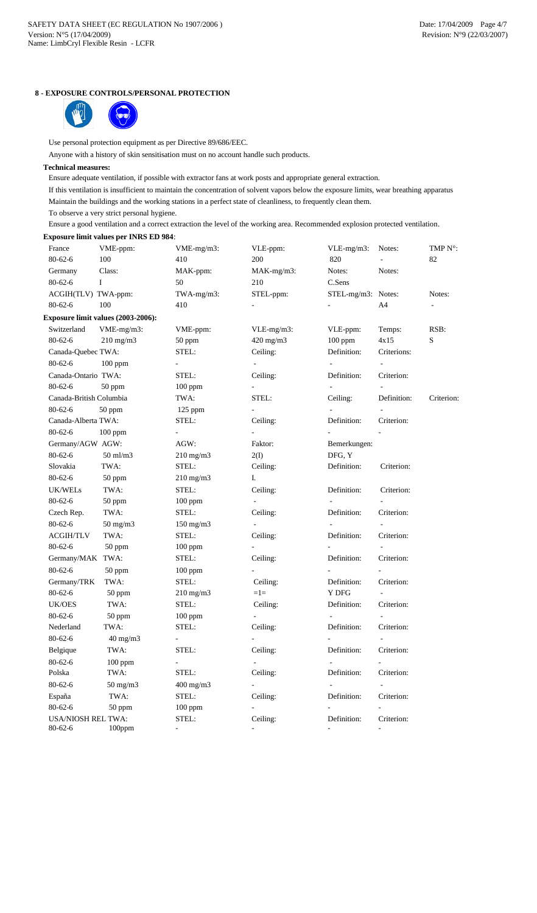# **8 - EXPOSURE CONTROLS/PERSONAL PROTECTION**



Use personal protection equipment as per Directive 89/686/EEC.

Anyone with a history of skin sensitisation must on no account handle such products.

# **Technical measures:**

Ensure adequate ventilation, if possible with extractor fans at work posts and appropriate general extraction.

If this ventilation is insufficient to maintain the concentration of solvent vapors below the exposure limits, wear breathing apparatus

Maintain the buildings and the working stations in a perfect state of cleanliness, to frequently clean them.

To observe a very strict personal hygiene.

Ensure a good ventilation and a correct extraction the level of the working area. Recommended explosion protected ventilation.

# **Exposure limit values per INRS ED 984**:

| France                  | VME-ppm:                           | $VME-mg/m3$ :  | VLE-ppm:      | $VLE-mg/m3$ :      | Notes:      | TMP N°:    |
|-------------------------|------------------------------------|----------------|---------------|--------------------|-------------|------------|
| $80 - 62 - 6$           | 100                                | 410            | 200           | 820                |             | 82         |
| Germany                 | Class:                             | MAK-ppm:       | $MAK-mg/m3$ : | Notes:             | Notes:      |            |
| $80 - 62 - 6$           | Ι.                                 | 50             | 210           | C.Sens             |             |            |
| ACGIH(TLV) TWA-ppm:     |                                    | $TWA-mg/m3$ :  | STEL-ppm:     | STEL-mg/m3: Notes: |             | Notes:     |
| $80 - 62 - 6$           | 100                                | 410            |               |                    | A4          |            |
|                         | Exposure limit values (2003-2006): |                |               |                    |             |            |
| Switzerland             | $VME-mg/m3$ :                      | VME-ppm:       | $VLE-mg/m3$ : | VLE-ppm:           | Temps:      | RSB:       |
| $80 - 62 - 6$           | $210$ mg/m $3$                     | 50 ppm         | 420 mg/m3     | $100$ ppm          | 4x15        | S          |
| Canada-Quebec TWA:      |                                    | STEL:          | Ceiling:      | Definition:        | Criterions: |            |
| $80 - 62 - 6$           | $100$ ppm                          |                |               |                    |             |            |
| Canada-Ontario TWA:     |                                    | STEL:          | Ceiling:      | Definition:        | Criterion:  |            |
| $80 - 62 - 6$           | $50$ ppm                           | $100$ ppm      |               | $\sim$             |             |            |
| Canada-British Columbia |                                    | TWA:           | STEL:         | Ceiling:           | Definition: | Criterion: |
| $80 - 62 - 6$           | 50 ppm                             | $125$ ppm      |               |                    |             |            |
| Canada-Alberta TWA:     |                                    | STEL:          | Ceiling:      | Definition:        | Criterion:  |            |
| $80 - 62 - 6$           | $100$ ppm                          |                |               |                    |             |            |
| Germany/AGW AGW:        |                                    | AGW:           | Faktor:       | Bemerkungen:       |             |            |
| $80 - 62 - 6$           | $50$ ml/m $3$                      | $210$ mg/m $3$ | 2(1)          | DFG, Y             |             |            |
| Slovakia                | TWA:                               | STEL:          | Ceiling:      | Definition:        | Criterion:  |            |
| $80 - 62 - 6$           | 50 ppm                             | $210$ mg/m $3$ | I.            |                    |             |            |
| <b>UK/WELs</b>          | TWA:                               | STEL:          | Ceiling:      | Definition:        | Criterion:  |            |
| $80 - 62 - 6$           | 50 ppm                             | $100$ ppm      |               |                    |             |            |
| Czech Rep.              | TWA:                               | STEL:          | Ceiling:      | Definition:        | Criterion:  |            |
| $80 - 62 - 6$           | $50 \text{ mg/m}$                  | $150$ mg/m $3$ |               |                    |             |            |
| <b>ACGIH/TLV</b>        | TWA:                               | STEL:          | Ceiling:      | Definition:        | Criterion:  |            |
| $80 - 62 - 6$           | 50 ppm                             | $100$ ppm      |               |                    |             |            |
| Germany/MAK TWA:        |                                    | STEL:          | Ceiling:      | Definition:        | Criterion:  |            |
| $80 - 62 - 6$           | 50 ppm                             | 100 ppm        |               |                    |             |            |
| Germany/TRK             | TWA:                               | STEL:          | Ceiling:      | Definition:        | Criterion:  |            |
| $80 - 62 - 6$           | 50 ppm                             | $210$ mg/m $3$ | $=1=$         | Y DFG              |             |            |
| <b>UK/OES</b>           | TWA:                               | STEL:          | Ceiling:      | Definition:        | Criterion:  |            |
| $80 - 62 - 6$           | 50 ppm                             | $100$ ppm      |               |                    |             |            |
| Nederland               | TWA:                               | STEL:          | Ceiling:      | Definition:        | Criterion:  |            |

| Definition: | Criterion |
|-------------|-----------|
|             |           |
| Definition: | Criterion |
|             |           |
| Definition: | Criterion |
|             |           |
| Definition: | Criterion |
|             |           |

| $80 - 62 - 6$             | $40 \text{ mg/m}$ |                    |          | ۰           |                          |
|---------------------------|-------------------|--------------------|----------|-------------|--------------------------|
| Belgique                  | TWA:              | STEL:              | Ceiling: | Definition: | Criterion:               |
| $80 - 62 - 6$             | $100$ ppm         |                    |          |             |                          |
| Polska                    | TWA:              | STEL:              | Ceiling: | Definition: | Criterion:               |
| $80 - 62 - 6$             | $50 \text{ mg/m}$ | $400 \text{ mg/m}$ |          |             | $\overline{\phantom{0}}$ |
| España                    | TWA:              | STEL:              | Ceiling: | Definition: | Criterion:               |
| $80 - 62 - 6$             | $50$ ppm          | $100$ ppm          |          |             |                          |
| <b>USA/NIOSH REL TWA:</b> |                   | STEL:              | Ceiling: | Definition: | Criterion:               |
| $80 - 62 - 6$             | $100$ ppm         |                    |          |             |                          |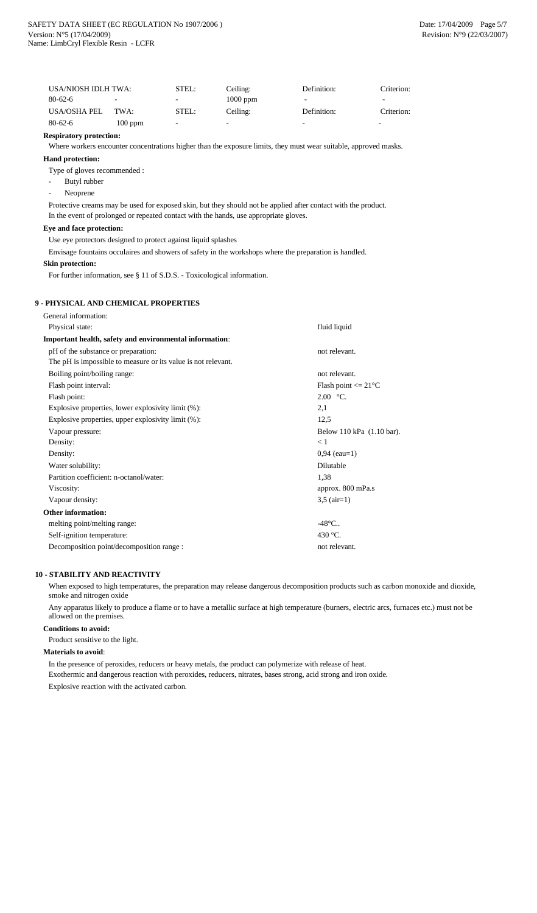| USA/NIOSH IDLH TWA: |                          | STEL:                    | Ceiling:                 | Definition:              | Criterion:               |
|---------------------|--------------------------|--------------------------|--------------------------|--------------------------|--------------------------|
| $80 - 62 - 6$       | $\overline{\phantom{0}}$ | $\overline{\phantom{a}}$ | $1000$ ppm               | $\overline{\phantom{0}}$ | ۰                        |
| USA/OSHA PEL        | TWA:                     | STEL:                    | Ceiling:                 | Definition:              | Criterion:               |
| $80 - 62 - 6$       | $100$ ppm                | $\overline{\phantom{a}}$ | $\overline{\phantom{0}}$ | $\overline{\phantom{0}}$ | $\overline{\phantom{0}}$ |

- Butyl rubber
- Neoprene

# **Respiratory protection:**

Where workers encounter concentrations higher than the exposure limits, they must wear suitable, approved masks.

# **Hand protection:**

Type of gloves recommended :

Protective creams may be used for exposed skin, but they should not be applied after contact with the product. In the event of prolonged or repeated contact with the hands, use appropriate gloves.

# **Eye and face protection:**

Use eye protectors designed to protect against liquid splashes

Envisage fountains occulaires and showers of safety in the workshops where the preparation is handled.

# **Skin protection:**

For further information, see § 11 of S.D.S. - Toxicological information.

# **9 - PHYSICAL AND CHEMICAL PROPERTIES**

| General information:                                          |                           |
|---------------------------------------------------------------|---------------------------|
| Physical state:                                               | fluid liquid              |
| Important health, safety and environmental information:       |                           |
| pH of the substance or preparation:                           | not relevant.             |
| The pH is impossible to measure or its value is not relevant. |                           |
| Boiling point/boiling range:                                  | not relevant.             |
| Flash point interval:                                         | Flash point $\leq$ 21 °C  |
| Flash point:                                                  | $2.00 °C$ .               |
| Explosive properties, lower explosivity limit (%):            | 2,1                       |
| Explosive properties, upper explosivity limit (%):            | 12,5                      |
| Vapour pressure:                                              | Below 110 kPa (1.10 bar). |
| Density:                                                      | < 1                       |
| Density:                                                      | $0,94$ (eau=1)            |
| Water solubility:                                             | Dilutable                 |
| Partition coefficient: n-octanol/water:                       | 1,38                      |
| Viscosity:                                                    | approx. 800 mPa.s         |
| Vapour density:                                               | $3,5 \text{ (air=1)}$     |
| <b>Other information:</b>                                     |                           |
| melting point/melting range:                                  | $-48^{\circ}$ C           |
| Self-ignition temperature:                                    | 430 °C.                   |
| Decomposition point/decomposition range :                     | not relevant.             |

# **10 - STABILITY AND REACTIVITY**

When exposed to high temperatures, the preparation may release dangerous decomposition products such as carbon monoxide and dioxide, smoke and nitrogen oxide

Any apparatus likely to produce a flame or to have a metallic surface at high temperature (burners, electric arcs, furnaces etc.) must not be allowed on the premises.

# **Conditions to avoid:**

Product sensitive to the light.

# **Materials to avoid**:

In the presence of peroxides, reducers or heavy metals, the product can polymerize with release of heat. Exothermic and dangerous reaction with peroxides, reducers, nitrates, bases strong, acid strong and iron oxide. Explosive reaction with the activated carbon.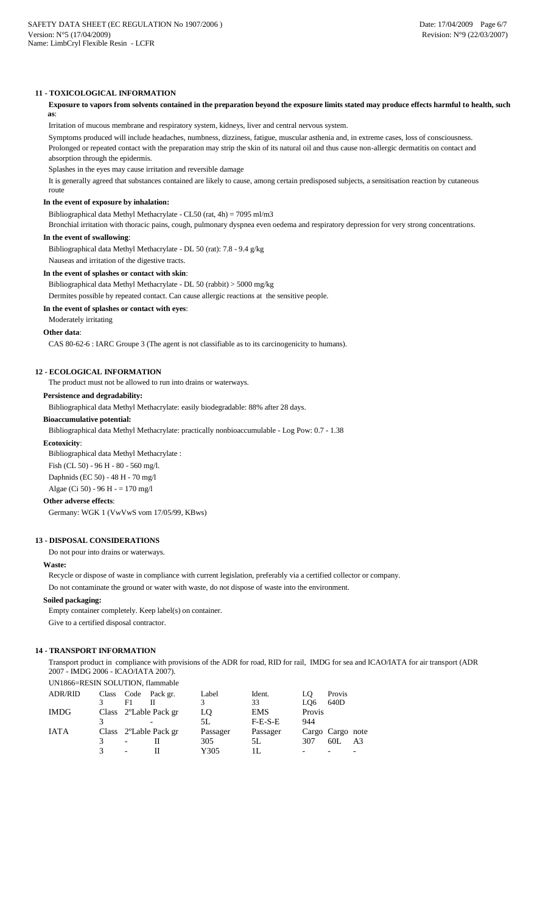### **11 - TOXICOLOGICAL INFORMATION**

# **Exposure to vapors from solvents contained in the preparation beyond the exposure limits stated may produce effects harmful to health, such as**:

Irritation of mucous membrane and respiratory system, kidneys, liver and central nervous system.

Symptoms produced will include headaches, numbness, dizziness, fatigue, muscular asthenia and, in extreme cases, loss of consciousness.

Prolonged or repeated contact with the preparation may strip the skin of its natural oil and thus cause non-allergic dermatitis on contact and absorption through the epidermis.

Splashes in the eyes may cause irritation and reversible damage

It is generally agreed that substances contained are likely to cause, among certain predisposed subjects, a sensitisation reaction by cutaneous route

### **In the event of exposure by inhalation:**

Bibliographical data Methyl Methacrylate - CL50 (rat, 4h) = 7095 ml/m3

Bronchial irritation with thoracic pains, cough, pulmonary dyspnea even oedema and respiratory depression for very strong concentrations.

### **In the event of swallowing**:

Bibliographical data Methyl Methacrylate - DL 50 (rat): 7.8 - 9.4 g/kg

Nauseas and irritation of the digestive tracts.

#### **In the event of splashes or contact with skin**:

Bibliographical data Methyl Methacrylate - DL 50 (rabbit) > 5000 mg/kg

Dermites possible by repeated contact. Can cause allergic reactions at the sensitive people.

### **In the event of splashes or contact with eyes**:

Moderately irritating

### **Other data**:

CAS 80-62-6 : IARC Groupe 3 (The agent is not classifiable as to its carcinogenicity to humans).

# **12 - ECOLOGICAL INFORMATION**

The product must not be allowed to run into drains or waterways.

### **Persistence and degradability:**

Bibliographical data Methyl Methacrylate: easily biodegradable: 88% after 28 days.

### **Bioaccumulative potential:**

Bibliographical data Methyl Methacrylate: practically nonbioaccumulable - Log Pow: 0.7 - 1.38

#### **Ecotoxicity**:

Bibliographical data Methyl Methacrylate :

Fish (CL 50) - 96 H - 80 - 560 mg/l.

Daphnids (EC 50) - 48 H - 70 mg/l

Algae (Ci 50) - 96 H - = 170 mg/l

# **Other adverse effects**:

Germany: WGK 1 (VwVwS vom 17/05/99, KBws)

### **13 - DISPOSAL CONSIDERATIONS**

Do not pour into drains or waterways.

# **Waste:**

Recycle or dispose of waste in compliance with current legislation, preferably via a certified collector or company.

Do not contaminate the ground or water with waste, do not dispose of waste into the environment.

### **Soiled packaging:**

Empty container completely. Keep label(s) on container.

Give to a certified disposal contractor.

# **14 - TRANSPORT INFORMATION**

Transport product in compliance with provisions of the ADR for road, RID for rail, IMDG for sea and ICAO/IATA for air transport (ADR 2007 - IMDG 2006 - ICAO/IATA 2007).

# UN1866=RESIN SOLUTION, flammable

| <b>ADR/RID</b> | Class |                   | Code Pack gr.                      | Label    | Ident.     | LO               | Provis |                |
|----------------|-------|-------------------|------------------------------------|----------|------------|------------------|--------|----------------|
|                |       | F1                |                                    |          | 33         | LQ6              | 640D   |                |
| <b>IMDG</b>    |       |                   | Class 2 <sup>o</sup> Lable Pack gr | LQ       | <b>EMS</b> | Provis           |        |                |
|                |       |                   |                                    | 5L       | $F-E-S-E$  | 944              |        |                |
| <b>IATA</b>    |       |                   | Class 2 <sup>o</sup> Lable Pack gr | Passager | Passager   | Cargo Cargo note |        |                |
|                |       | $\qquad \qquad -$ |                                    | 305      | 5L         | 307              | 60L    | A <sub>3</sub> |
|                |       | $\qquad \qquad -$ |                                    | Y305     | 11.        |                  |        |                |